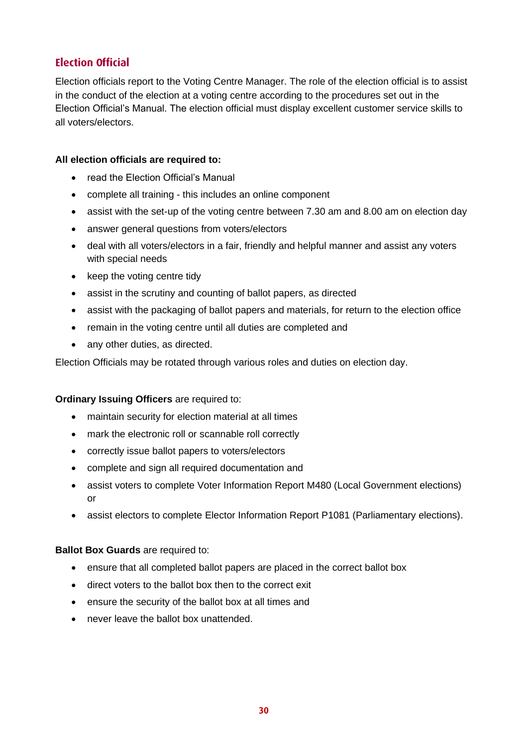# **Election Official**

Election officials report to the Voting Centre Manager. The role of the election official is to assist in the conduct of the election at a voting centre according to the procedures set out in the Election Official's Manual. The election official must display excellent customer service skills to all voters/electors.

# **All election officials are required to:**

- read the Election Official's Manual
- complete all training this includes an online component
- assist with the set-up of the voting centre between 7.30 am and 8.00 am on election day
- answer general questions from voters/electors
- deal with all voters/electors in a fair, friendly and helpful manner and assist any voters with special needs
- keep the voting centre tidy
- assist in the scrutiny and counting of ballot papers, as directed
- assist with the packaging of ballot papers and materials, for return to the election office
- remain in the voting centre until all duties are completed and
- any other duties, as directed.

Election Officials may be rotated through various roles and duties on election day.

# **Ordinary Issuing Officers** are required to:

- maintain security for election material at all times
- mark the electronic roll or scannable roll correctly
- correctly issue ballot papers to voters/electors
- complete and sign all required documentation and
- assist voters to complete Voter Information Report M480 (Local Government elections) or
- assist electors to complete Elector Information Report P1081 (Parliamentary elections).

# **Ballot Box Guards** are required to:

- ensure that all completed ballot papers are placed in the correct ballot box
- direct voters to the ballot box then to the correct exit
- ensure the security of the ballot box at all times and
- never leave the ballot box unattended.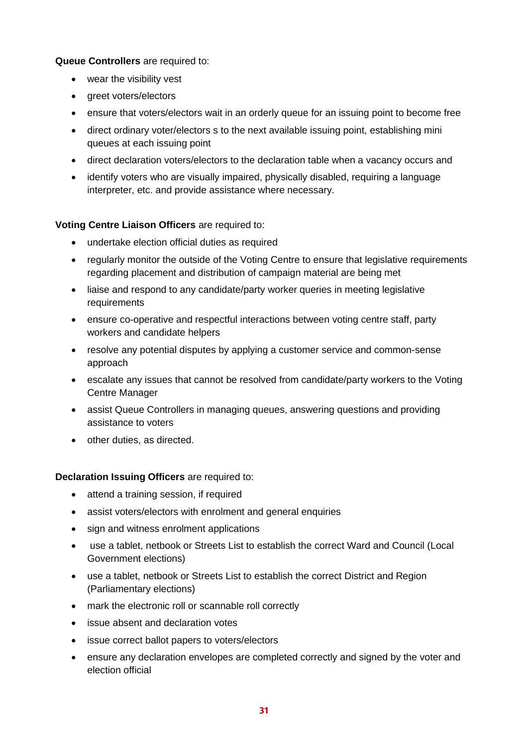**Queue Controllers** are required to:

- wear the visibility vest
- areet voters/electors
- ensure that voters/electors wait in an orderly queue for an issuing point to become free
- direct ordinary voter/electors s to the next available issuing point, establishing mini queues at each issuing point
- direct declaration voters/electors to the declaration table when a vacancy occurs and
- identify voters who are visually impaired, physically disabled, requiring a language interpreter, etc. and provide assistance where necessary.

#### **Voting Centre Liaison Officers** are required to:

- undertake election official duties as required
- regularly monitor the outside of the Voting Centre to ensure that legislative requirements regarding placement and distribution of campaign material are being met
- liaise and respond to any candidate/party worker queries in meeting legislative requirements
- ensure co-operative and respectful interactions between voting centre staff, party workers and candidate helpers
- resolve any potential disputes by applying a customer service and common-sense approach
- escalate any issues that cannot be resolved from candidate/party workers to the Voting Centre Manager
- assist Queue Controllers in managing queues, answering questions and providing assistance to voters
- other duties, as directed.

#### **Declaration Issuing Officers** are required to:

- attend a training session, if required
- assist voters/electors with enrolment and general enquiries
- sign and witness enrolment applications
- use a tablet, netbook or Streets List to establish the correct Ward and Council (Local Government elections)
- use a tablet, netbook or Streets List to establish the correct District and Region (Parliamentary elections)
- mark the electronic roll or scannable roll correctly
- issue absent and declaration votes
- issue correct ballot papers to voters/electors
- ensure any declaration envelopes are completed correctly and signed by the voter and election official